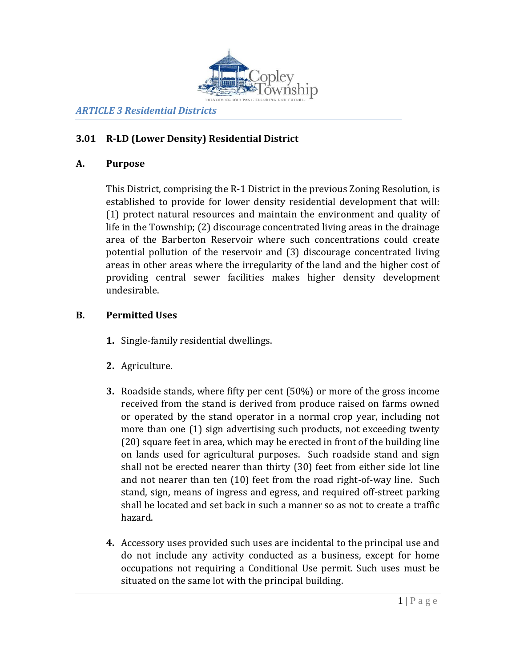

## **3.01 R-LD (Lower Density) Residential District**

#### **A. Purpose**

This District, comprising the R-1 District in the previous Zoning Resolution, is established to provide for lower density residential development that will: (1) protect natural resources and maintain the environment and quality of life in the Township; (2) discourage concentrated living areas in the drainage area of the Barberton Reservoir where such concentrations could create potential pollution of the reservoir and (3) discourage concentrated living areas in other areas where the irregularity of the land and the higher cost of providing central sewer facilities makes higher density development undesirable.

#### **B. Permitted Uses**

- **1.** Single-family residential dwellings.
- **2.** Agriculture.
- **3.** Roadside stands, where fifty per cent (50%) or more of the gross income received from the stand is derived from produce raised on farms owned or operated by the stand operator in a normal crop year, including not more than one (1) sign advertising such products, not exceeding twenty (20) square feet in area, which may be erected in front of the building line on lands used for agricultural purposes. Such roadside stand and sign shall not be erected nearer than thirty (30) feet from either side lot line and not nearer than ten (10) feet from the road right-of-way line. Such stand, sign, means of ingress and egress, and required off-street parking shall be located and set back in such a manner so as not to create a traffic hazard.
- **4.** Accessory uses provided such uses are incidental to the principal use and do not include any activity conducted as a business, except for home occupations not requiring a Conditional Use permit. Such uses must be situated on the same lot with the principal building.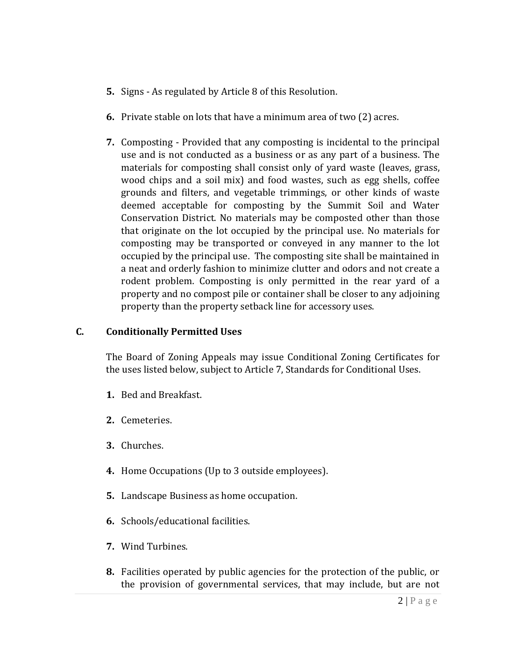- **5.** Signs As regulated by Article 8 of this Resolution.
- **6.** Private stable on lots that have a minimum area of two (2) acres.
- **7.** Composting Provided that any composting is incidental to the principal use and is not conducted as a business or as any part of a business. The materials for composting shall consist only of yard waste (leaves, grass, wood chips and a soil mix) and food wastes, such as egg shells, coffee grounds and filters, and vegetable trimmings, or other kinds of waste deemed acceptable for composting by the Summit Soil and Water Conservation District. No materials may be composted other than those that originate on the lot occupied by the principal use. No materials for composting may be transported or conveyed in any manner to the lot occupied by the principal use. The composting site shall be maintained in a neat and orderly fashion to minimize clutter and odors and not create a rodent problem. Composting is only permitted in the rear yard of a property and no compost pile or container shall be closer to any adjoining property than the property setback line for accessory uses.

### **C. Conditionally Permitted Uses**

The Board of Zoning Appeals may issue Conditional Zoning Certificates for the uses listed below, subject to Article 7, Standards for Conditional Uses.

- **1.** Bed and Breakfast.
- **2.** Cemeteries.
- **3.** Churches.
- **4.** Home Occupations (Up to 3 outside employees).
- **5.** Landscape Business as home occupation.
- **6.** Schools/educational facilities.
- **7.** Wind Turbines.
- **8.** Facilities operated by public agencies for the protection of the public, or the provision of governmental services, that may include, but are not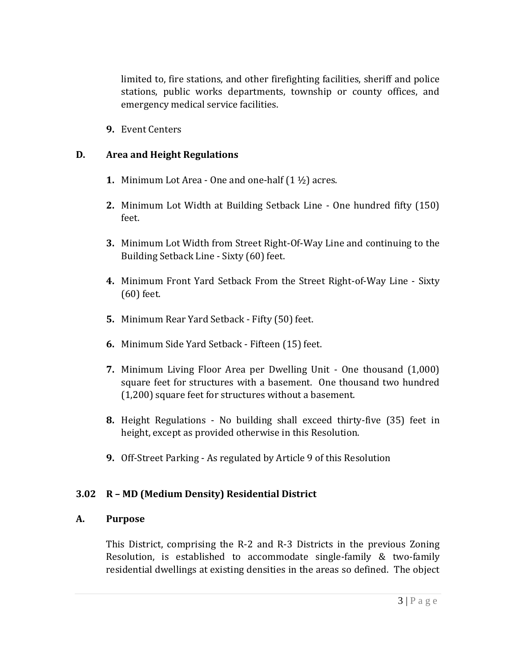limited to, fire stations, and other firefighting facilities, sheriff and police stations, public works departments, township or county offices, and emergency medical service facilities.

**9.** Event Centers

#### **D. Area and Height Regulations**

- **1.** Minimum Lot Area One and one-half (1 ½) acres.
- **2.** Minimum Lot Width at Building Setback Line One hundred fifty (150) feet.
- **3.** Minimum Lot Width from Street Right-Of-Way Line and continuing to the Building Setback Line - Sixty (60) feet.
- **4.** Minimum Front Yard Setback From the Street Right-of-Way Line Sixty (60) feet.
- **5.** Minimum Rear Yard Setback Fifty (50) feet.
- **6.** Minimum Side Yard Setback Fifteen (15) feet.
- **7.** Minimum Living Floor Area per Dwelling Unit One thousand (1,000) square feet for structures with a basement. One thousand two hundred (1,200) square feet for structures without a basement.
- **8.** Height Regulations No building shall exceed thirty-five (35) feet in height, except as provided otherwise in this Resolution.
- **9.** Off-Street Parking As regulated by Article 9 of this Resolution

#### **3.02 R – MD (Medium Density) Residential District**

#### **A. Purpose**

This District, comprising the R-2 and R-3 Districts in the previous Zoning Resolution, is established to accommodate single-family & two-family residential dwellings at existing densities in the areas so defined. The object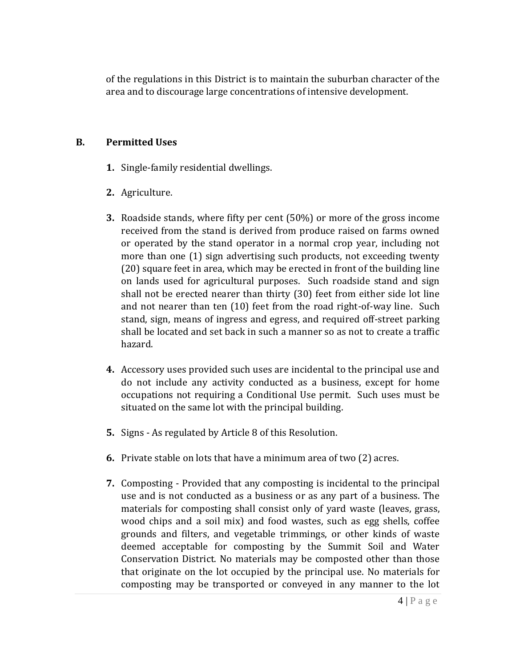of the regulations in this District is to maintain the suburban character of the area and to discourage large concentrations of intensive development.

#### **B. Permitted Uses**

- **1.** Single-family residential dwellings.
- **2.** Agriculture.
- **3.** Roadside stands, where fifty per cent (50%) or more of the gross income received from the stand is derived from produce raised on farms owned or operated by the stand operator in a normal crop year, including not more than one (1) sign advertising such products, not exceeding twenty (20) square feet in area, which may be erected in front of the building line on lands used for agricultural purposes. Such roadside stand and sign shall not be erected nearer than thirty (30) feet from either side lot line and not nearer than ten (10) feet from the road right-of-way line. Such stand, sign, means of ingress and egress, and required off-street parking shall be located and set back in such a manner so as not to create a traffic hazard.
- **4.** Accessory uses provided such uses are incidental to the principal use and do not include any activity conducted as a business, except for home occupations not requiring a Conditional Use permit. Such uses must be situated on the same lot with the principal building.
- **5.** Signs As regulated by Article 8 of this Resolution.
- **6.** Private stable on lots that have a minimum area of two (2) acres.
- **7.** Composting Provided that any composting is incidental to the principal use and is not conducted as a business or as any part of a business. The materials for composting shall consist only of yard waste (leaves, grass, wood chips and a soil mix) and food wastes, such as egg shells, coffee grounds and filters, and vegetable trimmings, or other kinds of waste deemed acceptable for composting by the Summit Soil and Water Conservation District. No materials may be composted other than those that originate on the lot occupied by the principal use. No materials for composting may be transported or conveyed in any manner to the lot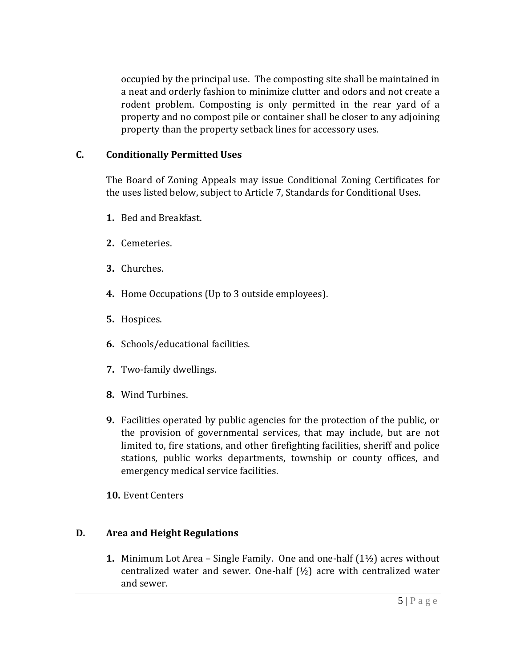occupied by the principal use. The composting site shall be maintained in a neat and orderly fashion to minimize clutter and odors and not create a rodent problem. Composting is only permitted in the rear yard of a property and no compost pile or container shall be closer to any adjoining property than the property setback lines for accessory uses.

### **C. Conditionally Permitted Uses**

The Board of Zoning Appeals may issue Conditional Zoning Certificates for the uses listed below, subject to Article 7, Standards for Conditional Uses.

- **1.** Bed and Breakfast.
- **2.** Cemeteries.
- **3.** Churches.
- **4.** Home Occupations (Up to 3 outside employees).
- **5.** Hospices.
- **6.** Schools/educational facilities.
- **7.** Two-family dwellings.
- **8.** Wind Turbines.
- **9.** Facilities operated by public agencies for the protection of the public, or the provision of governmental services, that may include, but are not limited to, fire stations, and other firefighting facilities, sheriff and police stations, public works departments, township or county offices, and emergency medical service facilities.
- **10.** Event Centers

# **D. Area and Height Regulations**

**1.** Minimum Lot Area – Single Family. One and one-half (1½) acres without centralized water and sewer. One-half  $(1/2)$  acre with centralized water and sewer.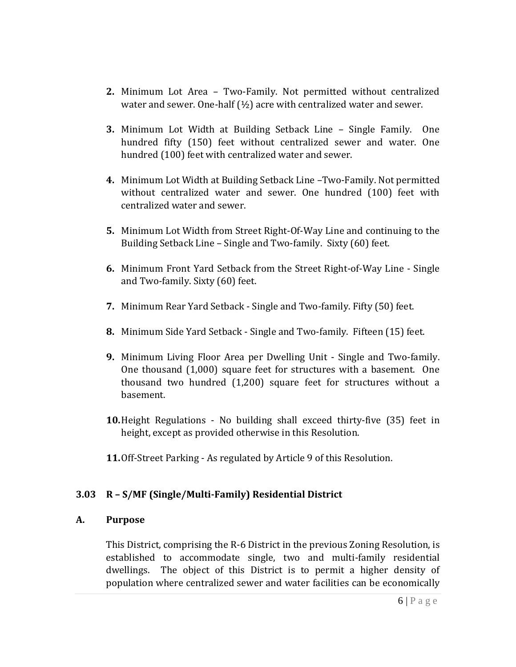- **2.** Minimum Lot Area Two-Family. Not permitted without centralized water and sewer. One-half  $(1/2)$  acre with centralized water and sewer.
- **3.** Minimum Lot Width at Building Setback Line Single Family. One hundred fifty (150) feet without centralized sewer and water. One hundred (100) feet with centralized water and sewer.
- **4.** Minimum Lot Width at Building Setback Line –Two-Family. Not permitted without centralized water and sewer. One hundred (100) feet with centralized water and sewer.
- **5.** Minimum Lot Width from Street Right-Of-Way Line and continuing to the Building Setback Line – Single and Two-family. Sixty (60) feet.
- **6.** Minimum Front Yard Setback from the Street Right-of-Way Line Single and Two-family. Sixty (60) feet.
- **7.** Minimum Rear Yard Setback Single and Two-family. Fifty (50) feet.
- **8.** Minimum Side Yard Setback Single and Two-family. Fifteen (15) feet.
- **9.** Minimum Living Floor Area per Dwelling Unit Single and Two-family. One thousand (1,000) square feet for structures with a basement. One thousand two hundred (1,200) square feet for structures without a basement.
- **10.**Height Regulations No building shall exceed thirty-five (35) feet in height, except as provided otherwise in this Resolution.
- **11.**Off-Street Parking As regulated by Article 9 of this Resolution.

## **3.03 R – S/MF (Single/Multi-Family) Residential District**

#### **A. Purpose**

This District, comprising the R-6 District in the previous Zoning Resolution, is established to accommodate single, two and multi-family residential dwellings. The object of this District is to permit a higher density of population where centralized sewer and water facilities can be economically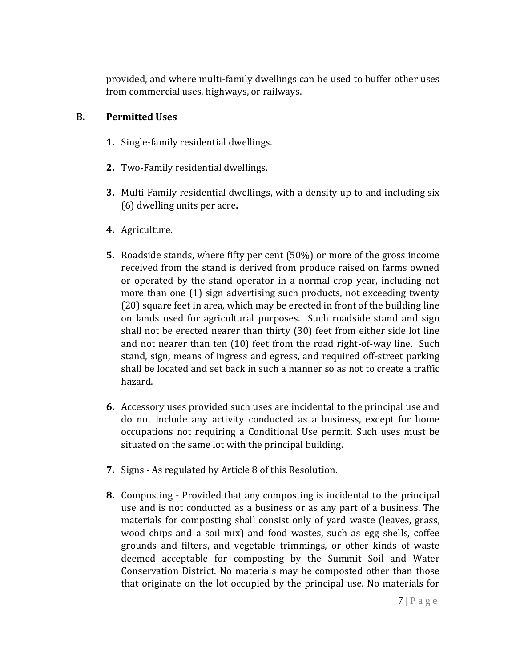provided, and where multi-family dwellings can be used to buffer other uses from commercial uses, highways, or railways.

#### **B. Permitted Uses**

- **1.** Single-family residential dwellings.
- **2.** Two-Family residential dwellings.
- **3.** Multi-Family residential dwellings, with a density up to and including six (6) dwelling units per acre**.**
- **4.** Agriculture.
- **5.** Roadside stands, where fifty per cent (50%) or more of the gross income received from the stand is derived from produce raised on farms owned or operated by the stand operator in a normal crop year, including not more than one (1) sign advertising such products, not exceeding twenty (20) square feet in area, which may be erected in front of the building line on lands used for agricultural purposes. Such roadside stand and sign shall not be erected nearer than thirty (30) feet from either side lot line and not nearer than ten (10) feet from the road right-of-way line. Such stand, sign, means of ingress and egress, and required off-street parking shall be located and set back in such a manner so as not to create a traffic hazard.
- **6.** Accessory uses provided such uses are incidental to the principal use and do not include any activity conducted as a business, except for home occupations not requiring a Conditional Use permit. Such uses must be situated on the same lot with the principal building.
- **7.** Signs As regulated by Article 8 of this Resolution.
- **8.** Composting Provided that any composting is incidental to the principal use and is not conducted as a business or as any part of a business. The materials for composting shall consist only of yard waste (leaves, grass, wood chips and a soil mix) and food wastes, such as egg shells, coffee grounds and filters, and vegetable trimmings, or other kinds of waste deemed acceptable for composting by the Summit Soil and Water Conservation District. No materials may be composted other than those that originate on the lot occupied by the principal use. No materials for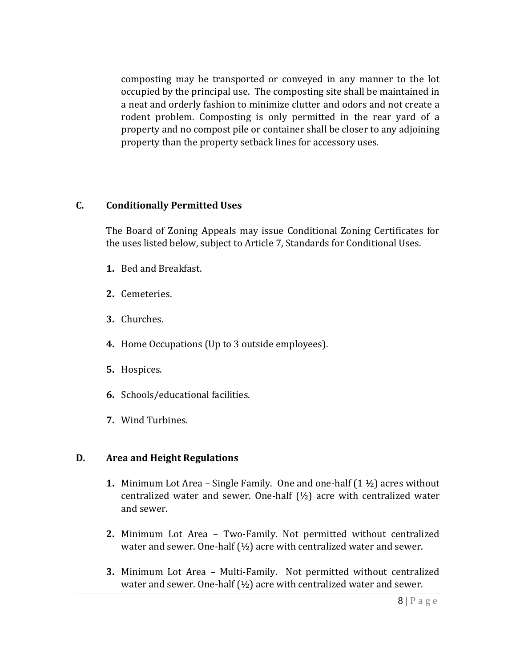composting may be transported or conveyed in any manner to the lot occupied by the principal use. The composting site shall be maintained in a neat and orderly fashion to minimize clutter and odors and not create a rodent problem. Composting is only permitted in the rear yard of a property and no compost pile or container shall be closer to any adjoining property than the property setback lines for accessory uses.

#### **C. Conditionally Permitted Uses**

The Board of Zoning Appeals may issue Conditional Zoning Certificates for the uses listed below, subject to Article 7, Standards for Conditional Uses.

- **1.** Bed and Breakfast.
- **2.** Cemeteries.
- **3.** Churches.
- **4.** Home Occupations (Up to 3 outside employees).
- **5.** Hospices.
- **6.** Schools/educational facilities.
- **7.** Wind Turbines.

#### **D. Area and Height Regulations**

- **1.** Minimum Lot Area Single Family. One and one-half  $(1 \frac{1}{2})$  acres without centralized water and sewer. One-half  $(½)$  acre with centralized water and sewer.
- **2.** Minimum Lot Area Two-Family. Not permitted without centralized water and sewer. One-half  $(1/2)$  acre with centralized water and sewer.
- **3.** Minimum Lot Area Multi-Family. Not permitted without centralized water and sewer. One-half  $(\frac{1}{2})$  acre with centralized water and sewer.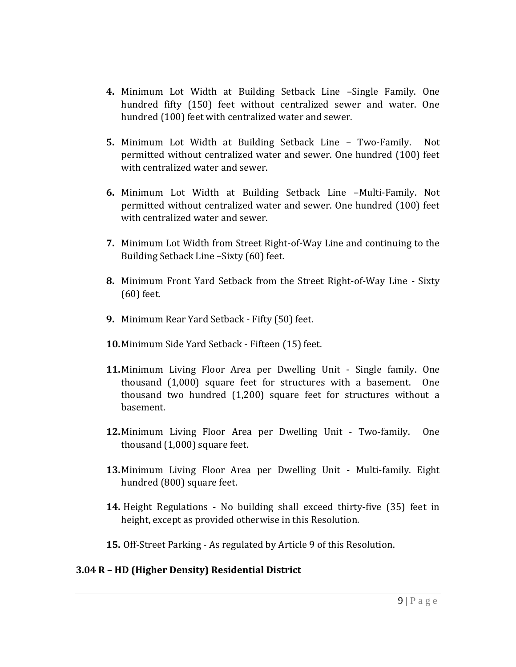- **4.** Minimum Lot Width at Building Setback Line –Single Family. One hundred fifty (150) feet without centralized sewer and water. One hundred (100) feet with centralized water and sewer.
- **5.** Minimum Lot Width at Building Setback Line Two-Family. Not permitted without centralized water and sewer. One hundred (100) feet with centralized water and sewer.
- **6.** Minimum Lot Width at Building Setback Line –Multi-Family. Not permitted without centralized water and sewer. One hundred (100) feet with centralized water and sewer.
- **7.** Minimum Lot Width from Street Right-of-Way Line and continuing to the Building Setback Line –Sixty (60) feet.
- **8.** Minimum Front Yard Setback from the Street Right-of-Way Line Sixty (60) feet.
- **9.** Minimum Rear Yard Setback Fifty (50) feet.
- **10.**Minimum Side Yard Setback Fifteen (15) feet.
- **11.**Minimum Living Floor Area per Dwelling Unit Single family. One thousand (1,000) square feet for structures with a basement. One thousand two hundred (1,200) square feet for structures without a basement.
- **12.**Minimum Living Floor Area per Dwelling Unit Two-family. One thousand (1,000) square feet.
- **13.**Minimum Living Floor Area per Dwelling Unit Multi-family. Eight hundred (800) square feet.
- **14.** Height Regulations No building shall exceed thirty-five (35) feet in height, except as provided otherwise in this Resolution.
- **15.** Off-Street Parking As regulated by Article 9 of this Resolution.

#### **3.04 R – HD (Higher Density) Residential District**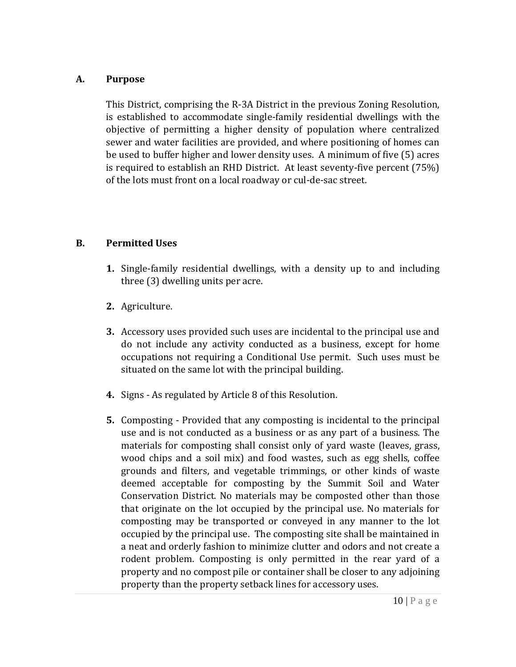#### **A. Purpose**

This District, comprising the R-3A District in the previous Zoning Resolution, is established to accommodate single-family residential dwellings with the objective of permitting a higher density of population where centralized sewer and water facilities are provided, and where positioning of homes can be used to buffer higher and lower density uses. A minimum of five (5) acres is required to establish an RHD District. At least seventy-five percent (75%) of the lots must front on a local roadway or cul-de-sac street.

#### **B. Permitted Uses**

- **1.** Single-family residential dwellings, with a density up to and including three (3) dwelling units per acre.
- **2.** Agriculture.
- **3.** Accessory uses provided such uses are incidental to the principal use and do not include any activity conducted as a business, except for home occupations not requiring a Conditional Use permit. Such uses must be situated on the same lot with the principal building.
- **4.** Signs As regulated by Article 8 of this Resolution.
- **5.** Composting Provided that any composting is incidental to the principal use and is not conducted as a business or as any part of a business. The materials for composting shall consist only of yard waste (leaves, grass, wood chips and a soil mix) and food wastes, such as egg shells, coffee grounds and filters, and vegetable trimmings, or other kinds of waste deemed acceptable for composting by the Summit Soil and Water Conservation District. No materials may be composted other than those that originate on the lot occupied by the principal use. No materials for composting may be transported or conveyed in any manner to the lot occupied by the principal use. The composting site shall be maintained in a neat and orderly fashion to minimize clutter and odors and not create a rodent problem. Composting is only permitted in the rear yard of a property and no compost pile or container shall be closer to any adjoining property than the property setback lines for accessory uses.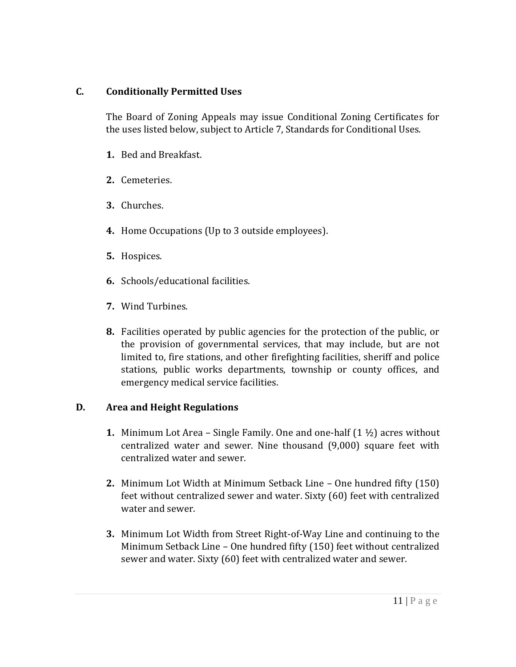#### **C. Conditionally Permitted Uses**

The Board of Zoning Appeals may issue Conditional Zoning Certificates for the uses listed below, subject to Article 7, Standards for Conditional Uses.

- **1.** Bed and Breakfast.
- **2.** Cemeteries.
- **3.** Churches.
- **4.** Home Occupations (Up to 3 outside employees).
- **5.** Hospices.
- **6.** Schools/educational facilities.
- **7.** Wind Turbines.
- **8.** Facilities operated by public agencies for the protection of the public, or the provision of governmental services, that may include, but are not limited to, fire stations, and other firefighting facilities, sheriff and police stations, public works departments, township or county offices, and emergency medical service facilities.

#### **D. Area and Height Regulations**

- **1.** Minimum Lot Area Single Family. One and one-half (1 ½) acres without centralized water and sewer. Nine thousand (9,000) square feet with centralized water and sewer.
- **2.** Minimum Lot Width at Minimum Setback Line One hundred fifty (150) feet without centralized sewer and water. Sixty (60) feet with centralized water and sewer.
- **3.** Minimum Lot Width from Street Right-of-Way Line and continuing to the Minimum Setback Line – One hundred fifty (150) feet without centralized sewer and water. Sixty (60) feet with centralized water and sewer.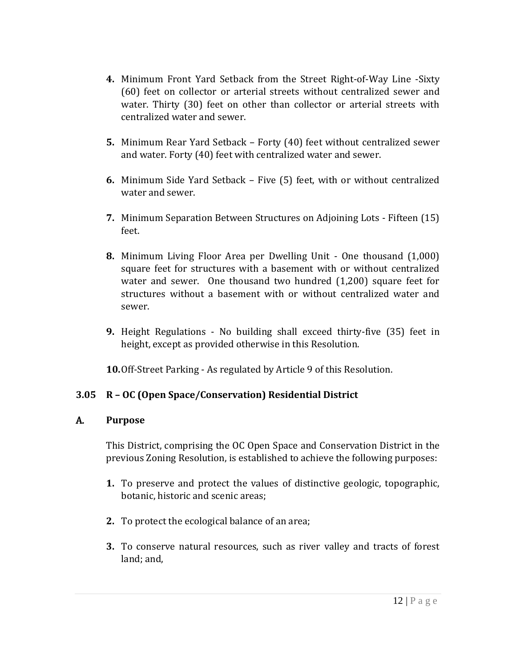- **4.** Minimum Front Yard Setback from the Street Right-of-Way Line -Sixty (60) feet on collector or arterial streets without centralized sewer and water. Thirty (30) feet on other than collector or arterial streets with centralized water and sewer.
- **5.** Minimum Rear Yard Setback Forty (40) feet without centralized sewer and water. Forty (40) feet with centralized water and sewer.
- **6.** Minimum Side Yard Setback Five (5) feet, with or without centralized water and sewer.
- **7.** Minimum Separation Between Structures on Adjoining Lots Fifteen (15) feet.
- **8.** Minimum Living Floor Area per Dwelling Unit One thousand (1,000) square feet for structures with a basement with or without centralized water and sewer. One thousand two hundred (1,200) square feet for structures without a basement with or without centralized water and sewer.
- **9.** Height Regulations No building shall exceed thirty-five (35) feet in height, except as provided otherwise in this Resolution.

**10.**Off-Street Parking - As regulated by Article 9 of this Resolution.

## **3.05 R – OC (Open Space/Conservation) Residential District**

#### A. **Purpose**

This District, comprising the OC Open Space and Conservation District in the previous Zoning Resolution, is established to achieve the following purposes:

- **1.** To preserve and protect the values of distinctive geologic, topographic, botanic, historic and scenic areas;
- **2.** To protect the ecological balance of an area;
- **3.** To conserve natural resources, such as river valley and tracts of forest land; and,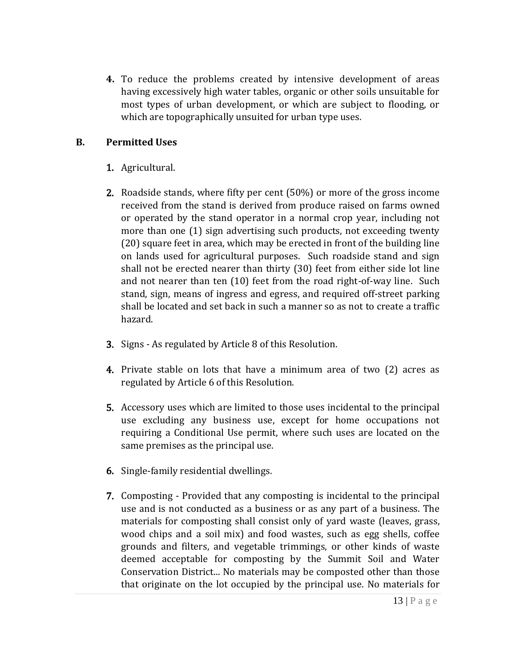**4.** To reduce the problems created by intensive development of areas having excessively high water tables, organic or other soils unsuitable for most types of urban development, or which are subject to flooding, or which are topographically unsuited for urban type uses.

## **B. Permitted Uses**

- 1. Agricultural.
- 2. Roadside stands, where fifty per cent (50%) or more of the gross income received from the stand is derived from produce raised on farms owned or operated by the stand operator in a normal crop year, including not more than one (1) sign advertising such products, not exceeding twenty (20) square feet in area, which may be erected in front of the building line on lands used for agricultural purposes. Such roadside stand and sign shall not be erected nearer than thirty (30) feet from either side lot line and not nearer than ten (10) feet from the road right-of-way line. Such stand, sign, means of ingress and egress, and required off-street parking shall be located and set back in such a manner so as not to create a traffic hazard.
- 3. Signs As regulated by Article 8 of this Resolution.
- 4. Private stable on lots that have a minimum area of two (2) acres as regulated by Article 6 of this Resolution.
- 5. Accessory uses which are limited to those uses incidental to the principal use excluding any business use, except for home occupations not requiring a Conditional Use permit, where such uses are located on the same premises as the principal use.
- 6. Single-family residential dwellings.
- 7. Composting Provided that any composting is incidental to the principal use and is not conducted as a business or as any part of a business. The materials for composting shall consist only of yard waste (leaves, grass, wood chips and a soil mix) and food wastes, such as egg shells, coffee grounds and filters, and vegetable trimmings, or other kinds of waste deemed acceptable for composting by the Summit Soil and Water Conservation District... No materials may be composted other than those that originate on the lot occupied by the principal use. No materials for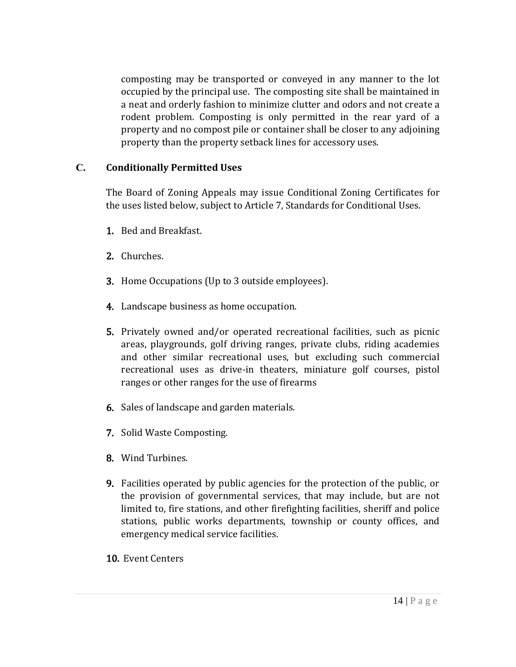composting may be transported or conveyed in any manner to the lot occupied by the principal use. The composting site shall be maintained in a neat and orderly fashion to minimize clutter and odors and not create a rodent problem. Composting is only permitted in the rear yard of a property and no compost pile or container shall be closer to any adjoining property than the property setback lines for accessory uses.

#### **C. Conditionally Permitted Uses**

The Board of Zoning Appeals may issue Conditional Zoning Certificates for the uses listed below, subject to Article 7, Standards for Conditional Uses.

- 1. Bed and Breakfast.
- 2. Churches.
- 3. Home Occupations (Up to 3 outside employees).
- 4. Landscape business as home occupation.
- 5. Privately owned and/or operated recreational facilities, such as picnic areas, playgrounds, golf driving ranges, private clubs, riding academies and other similar recreational uses, but excluding such commercial recreational uses as drive-in theaters, miniature golf courses, pistol ranges or other ranges for the use of firearms
- 6. Sales of landscape and garden materials.
- 7. Solid Waste Composting.
- 8. Wind Turbines.
- 9. Facilities operated by public agencies for the protection of the public, or the provision of governmental services, that may include, but are not limited to, fire stations, and other firefighting facilities, sheriff and police stations, public works departments, township or county offices, and emergency medical service facilities.
- 10. Event Centers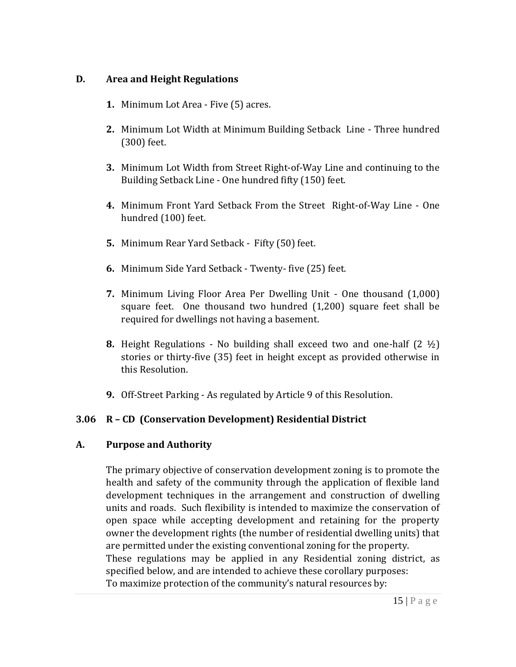### **D. Area and Height Regulations**

- **1.** Minimum Lot Area Five (5) acres.
- **2.** Minimum Lot Width at Minimum Building Setback Line Three hundred (300) feet.
- **3.** Minimum Lot Width from Street Right-of-Way Line and continuing to the Building Setback Line - One hundred fifty (150) feet.
- **4.** Minimum Front Yard Setback From the Street Right-of-Way Line One hundred (100) feet.
- **5.** Minimum Rear Yard Setback Fifty (50) feet.
- **6.** Minimum Side Yard Setback Twenty- five (25) feet.
- **7.** Minimum Living Floor Area Per Dwelling Unit One thousand (1,000) square feet. One thousand two hundred (1,200) square feet shall be required for dwellings not having a basement.
- **8.** Height Regulations No building shall exceed two and one-half (2 ½) stories or thirty-five (35) feet in height except as provided otherwise in this Resolution.
- **9.** Off-Street Parking As regulated by Article 9 of this Resolution.

# **3.06 R – CD (Conservation Development) Residential District**

## **A. Purpose and Authority**

The primary objective of conservation development zoning is to promote the health and safety of the community through the application of flexible land development techniques in the arrangement and construction of dwelling units and roads. Such flexibility is intended to maximize the conservation of open space while accepting development and retaining for the property owner the development rights (the number of residential dwelling units) that are permitted under the existing conventional zoning for the property. These regulations may be applied in any Residential zoning district, as specified below, and are intended to achieve these corollary purposes: To maximize protection of the community's natural resources by: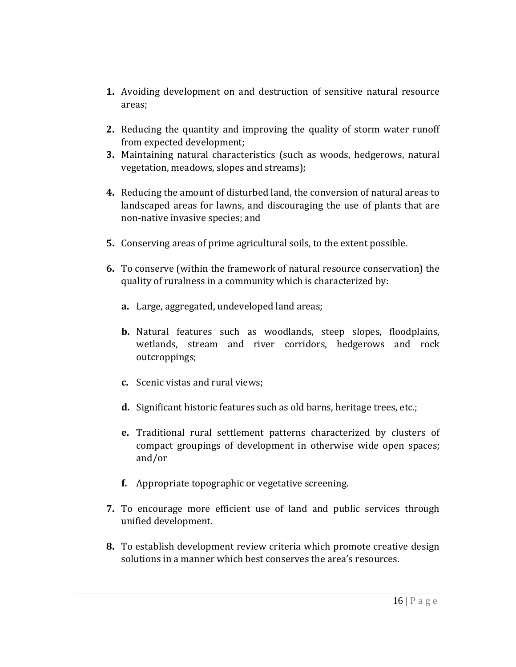- **1.** Avoiding development on and destruction of sensitive natural resource areas;
- **2.** Reducing the quantity and improving the quality of storm water runoff from expected development;
- **3.** Maintaining natural characteristics (such as woods, hedgerows, natural vegetation, meadows, slopes and streams);
- **4.** Reducing the amount of disturbed land, the conversion of natural areas to landscaped areas for lawns, and discouraging the use of plants that are non-native invasive species; and
- **5.** Conserving areas of prime agricultural soils, to the extent possible.
- **6.** To conserve (within the framework of natural resource conservation) the quality of ruralness in a community which is characterized by:
	- **a.** Large, aggregated, undeveloped land areas;
	- **b.** Natural features such as woodlands, steep slopes, floodplains, wetlands, stream and river corridors, hedgerows and rock outcroppings;
	- **c.** Scenic vistas and rural views;
	- **d.** Significant historic features such as old barns, heritage trees, etc.;
	- **e.** Traditional rural settlement patterns characterized by clusters of compact groupings of development in otherwise wide open spaces; and/or
	- **f.** Appropriate topographic or vegetative screening.
- **7.** To encourage more efficient use of land and public services through unified development.
- **8.** To establish development review criteria which promote creative design solutions in a manner which best conserves the area's resources.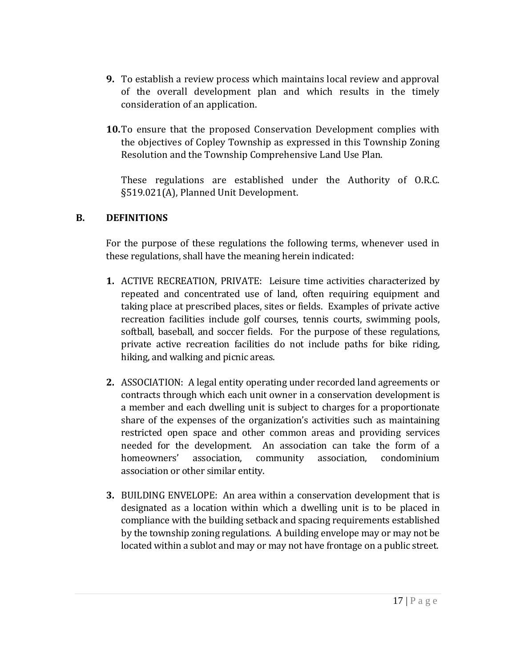- **9.** To establish a review process which maintains local review and approval of the overall development plan and which results in the timely consideration of an application.
- **10.**To ensure that the proposed Conservation Development complies with the objectives of Copley Township as expressed in this Township Zoning Resolution and the Township Comprehensive Land Use Plan.

These regulations are established under the Authority of O.R.C. §519.021(A), Planned Unit Development.

#### **B. DEFINITIONS**

For the purpose of these regulations the following terms, whenever used in these regulations, shall have the meaning herein indicated:

- **1.** ACTIVE RECREATION, PRIVATE: Leisure time activities characterized by repeated and concentrated use of land, often requiring equipment and taking place at prescribed places, sites or fields. Examples of private active recreation facilities include golf courses, tennis courts, swimming pools, softball, baseball, and soccer fields. For the purpose of these regulations, private active recreation facilities do not include paths for bike riding, hiking, and walking and picnic areas.
- **2.** ASSOCIATION: A legal entity operating under recorded land agreements or contracts through which each unit owner in a conservation development is a member and each dwelling unit is subject to charges for a proportionate share of the expenses of the organization's activities such as maintaining restricted open space and other common areas and providing services needed for the development. An association can take the form of a homeowners' association, community association, condominium association or other similar entity.
- **3.** BUILDING ENVELOPE: An area within a conservation development that is designated as a location within which a dwelling unit is to be placed in compliance with the building setback and spacing requirements established by the township zoning regulations. A building envelope may or may not be located within a sublot and may or may not have frontage on a public street.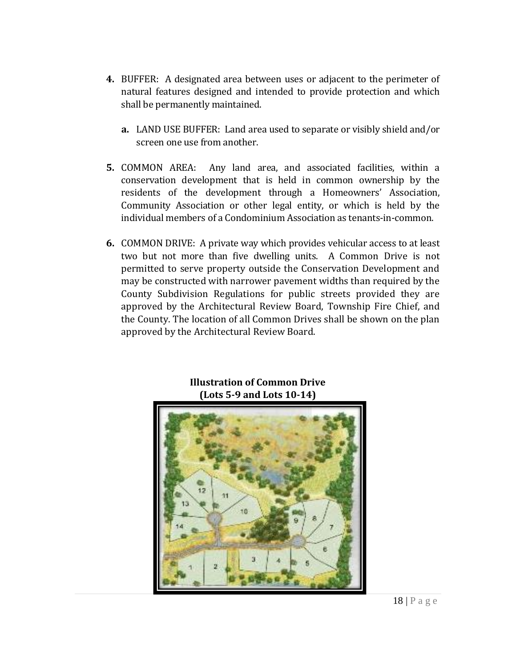- **4.** BUFFER: A designated area between uses or adjacent to the perimeter of natural features designed and intended to provide protection and which shall be permanently maintained.
	- **a.** LAND USE BUFFER: Land area used to separate or visibly shield and/or screen one use from another.
- **5.** COMMON AREA: Any land area, and associated facilities, within a conservation development that is held in common ownership by the residents of the development through a Homeowners' Association, Community Association or other legal entity, or which is held by the individual members of a Condominium Association as tenants-in-common.
- **6.** COMMON DRIVE: A private way which provides vehicular access to at least two but not more than five dwelling units. A Common Drive is not permitted to serve property outside the Conservation Development and may be constructed with narrower pavement widths than required by the County Subdivision Regulations for public streets provided they are approved by the Architectural Review Board, Township Fire Chief, and the County. The location of all Common Drives shall be shown on the plan approved by the Architectural Review Board.



### **Illustration of Common Drive (Lots 5-9 and Lots 10-14)**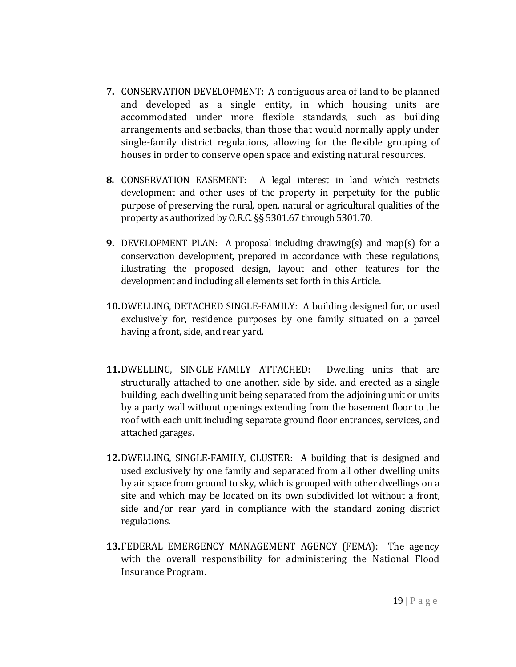- **7.** CONSERVATION DEVELOPMENT: A contiguous area of land to be planned and developed as a single entity, in which housing units are accommodated under more flexible standards, such as building arrangements and setbacks, than those that would normally apply under single-family district regulations, allowing for the flexible grouping of houses in order to conserve open space and existing natural resources.
- **8.** CONSERVATION EASEMENT: A legal interest in land which restricts development and other uses of the property in perpetuity for the public purpose of preserving the rural, open, natural or agricultural qualities of the property as authorized by O.R.C. §§ 5301.67 through 5301.70.
- **9.** DEVELOPMENT PLAN: A proposal including drawing(s) and map(s) for a conservation development, prepared in accordance with these regulations, illustrating the proposed design, layout and other features for the development and including all elements set forth in this Article.
- **10.**DWELLING, DETACHED SINGLE-FAMILY: A building designed for, or used exclusively for, residence purposes by one family situated on a parcel having a front, side, and rear yard.
- **11.**DWELLING, SINGLE-FAMILY ATTACHED: Dwelling units that are structurally attached to one another, side by side, and erected as a single building, each dwelling unit being separated from the adjoining unit or units by a party wall without openings extending from the basement floor to the roof with each unit including separate ground floor entrances, services, and attached garages.
- **12.**DWELLING, SINGLE-FAMILY, CLUSTER: A building that is designed and used exclusively by one family and separated from all other dwelling units by air space from ground to sky, which is grouped with other dwellings on a site and which may be located on its own subdivided lot without a front, side and/or rear yard in compliance with the standard zoning district regulations.
- **13.**FEDERAL EMERGENCY MANAGEMENT AGENCY (FEMA): The agency with the overall responsibility for administering the National Flood Insurance Program.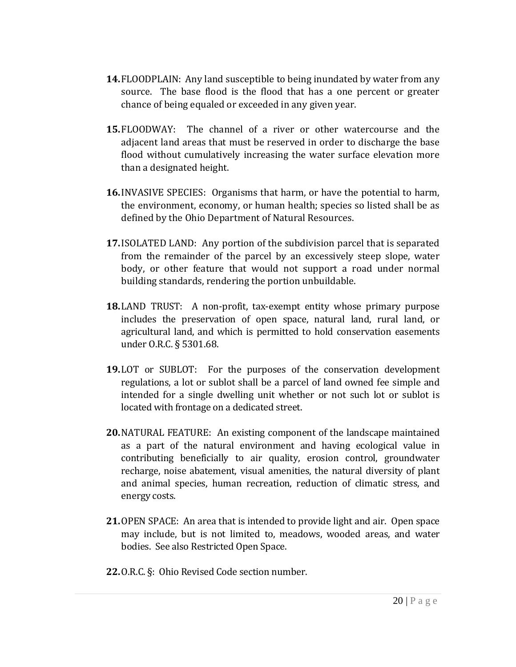- **14.**FLOODPLAIN: Any land susceptible to being inundated by water from any source. The base flood is the flood that has a one percent or greater chance of being equaled or exceeded in any given year.
- **15.**FLOODWAY: The channel of a river or other watercourse and the adjacent land areas that must be reserved in order to discharge the base flood without cumulatively increasing the water surface elevation more than a designated height.
- **16.**INVASIVE SPECIES: Organisms that harm, or have the potential to harm, the environment, economy, or human health; species so listed shall be as defined by the Ohio Department of Natural Resources.
- **17.**ISOLATED LAND: Any portion of the subdivision parcel that is separated from the remainder of the parcel by an excessively steep slope, water body, or other feature that would not support a road under normal building standards, rendering the portion unbuildable.
- **18.**LAND TRUST: A non-profit, tax-exempt entity whose primary purpose includes the preservation of open space, natural land, rural land, or agricultural land, and which is permitted to hold conservation easements under O.R.C. § 5301.68.
- **19.**LOT or SUBLOT: For the purposes of the conservation development regulations, a lot or sublot shall be a parcel of land owned fee simple and intended for a single dwelling unit whether or not such lot or sublot is located with frontage on a dedicated street.
- **20.**NATURAL FEATURE: An existing component of the landscape maintained as a part of the natural environment and having ecological value in contributing beneficially to air quality, erosion control, groundwater recharge, noise abatement, visual amenities, the natural diversity of plant and animal species, human recreation, reduction of climatic stress, and energy costs.
- **21.**OPEN SPACE: An area that is intended to provide light and air. Open space may include, but is not limited to, meadows, wooded areas, and water bodies. See also Restricted Open Space.
- **22.**O.R.C. §: Ohio Revised Code section number.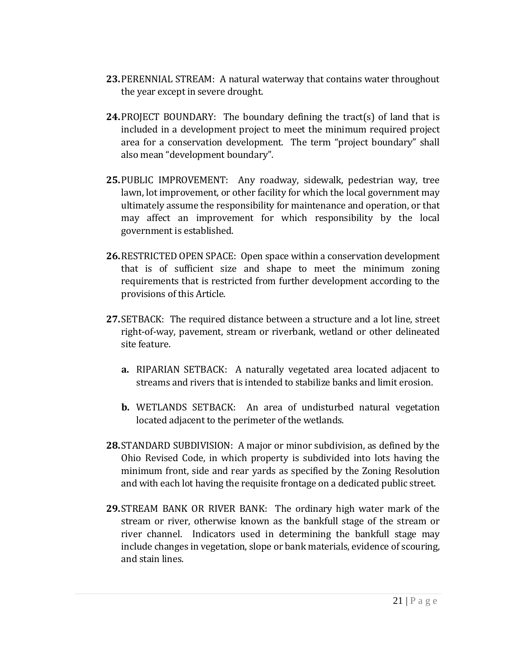- **23.**PERENNIAL STREAM: A natural waterway that contains water throughout the year except in severe drought.
- **24.**PROJECT BOUNDARY: The boundary defining the tract(s) of land that is included in a development project to meet the minimum required project area for a conservation development. The term "project boundary" shall also mean "development boundary".
- **25.**PUBLIC IMPROVEMENT: Any roadway, sidewalk, pedestrian way, tree lawn, lot improvement, or other facility for which the local government may ultimately assume the responsibility for maintenance and operation, or that may affect an improvement for which responsibility by the local government is established.
- **26.**RESTRICTED OPEN SPACE: Open space within a conservation development that is of sufficient size and shape to meet the minimum zoning requirements that is restricted from further development according to the provisions of this Article.
- **27.**SETBACK: The required distance between a structure and a lot line, street right-of-way, pavement, stream or riverbank, wetland or other delineated site feature.
	- **a.** RIPARIAN SETBACK: A naturally vegetated area located adjacent to streams and rivers that is intended to stabilize banks and limit erosion.
	- **b.** WETLANDS SETBACK: An area of undisturbed natural vegetation located adjacent to the perimeter of the wetlands.
- **28.**STANDARD SUBDIVISION: A major or minor subdivision, as defined by the Ohio Revised Code, in which property is subdivided into lots having the minimum front, side and rear yards as specified by the Zoning Resolution and with each lot having the requisite frontage on a dedicated public street.
- **29.**STREAM BANK OR RIVER BANK: The ordinary high water mark of the stream or river, otherwise known as the bankfull stage of the stream or river channel. Indicators used in determining the bankfull stage may include changes in vegetation, slope or bank materials, evidence of scouring, and stain lines.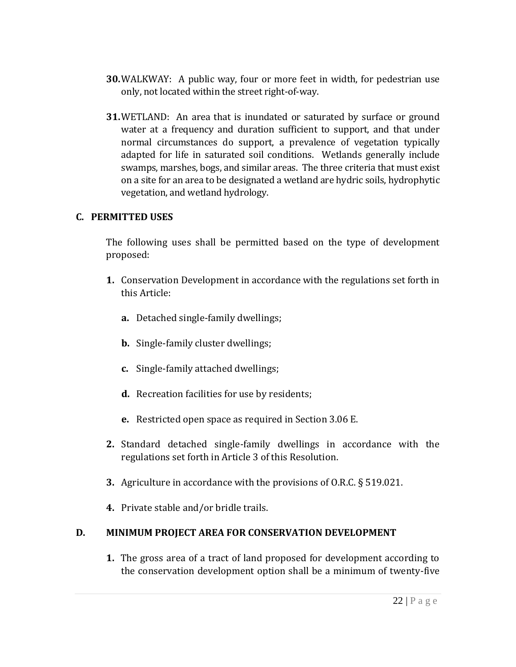- **30.**WALKWAY: A public way, four or more feet in width, for pedestrian use only, not located within the street right-of-way.
- **31.**WETLAND: An area that is inundated or saturated by surface or ground water at a frequency and duration sufficient to support, and that under normal circumstances do support, a prevalence of vegetation typically adapted for life in saturated soil conditions. Wetlands generally include swamps, marshes, bogs, and similar areas. The three criteria that must exist on a site for an area to be designated a wetland are hydric soils, hydrophytic vegetation, and wetland hydrology.

#### **C. PERMITTED USES**

The following uses shall be permitted based on the type of development proposed:

- **1.** Conservation Development in accordance with the regulations set forth in this Article:
	- **a.** Detached single-family dwellings;
	- **b.** Single-family cluster dwellings;
	- **c.** Single-family attached dwellings;
	- **d.** Recreation facilities for use by residents;
	- **e.** Restricted open space as required in Section 3.06 E.
- **2.** Standard detached single-family dwellings in accordance with the regulations set forth in Article 3 of this Resolution.
- **3.** Agriculture in accordance with the provisions of O.R.C. § 519.021.
- **4.** Private stable and/or bridle trails.

## **D. MINIMUM PROJECT AREA FOR CONSERVATION DEVELOPMENT**

**1.** The gross area of a tract of land proposed for development according to the conservation development option shall be a minimum of twenty-five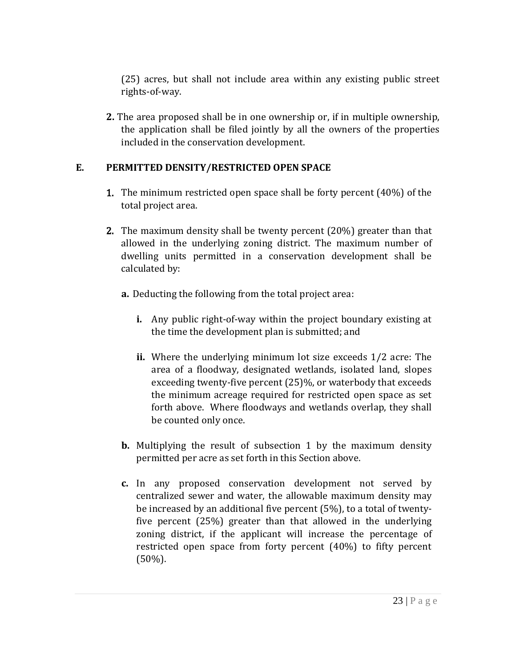(25) acres, but shall not include area within any existing public street rights-of-way.

**2.** The area proposed shall be in one ownership or, if in multiple ownership, the application shall be filed jointly by all the owners of the properties included in the conservation development.

## **E. PERMITTED DENSITY/RESTRICTED OPEN SPACE**

- 1. The minimum restricted open space shall be forty percent (40%) of the total project area.
- 2. The maximum density shall be twenty percent (20%) greater than that allowed in the underlying zoning district. The maximum number of dwelling units permitted in a conservation development shall be calculated by:
	- **a.** Deducting the following from the total project area:
		- **i.** Any public right-of-way within the project boundary existing at the time the development plan is submitted; and
		- **ii.** Where the underlying minimum lot size exceeds 1/2 acre: The area of a floodway, designated wetlands, isolated land, slopes exceeding twenty-five percent (25)%, or waterbody that exceeds the minimum acreage required for restricted open space as set forth above. Where floodways and wetlands overlap, they shall be counted only once.
	- **b.** Multiplying the result of subsection 1 by the maximum density permitted per acre as set forth in this Section above.
	- **c.** In any proposed conservation development not served by centralized sewer and water, the allowable maximum density may be increased by an additional five percent (5%), to a total of twentyfive percent (25%) greater than that allowed in the underlying zoning district, if the applicant will increase the percentage of restricted open space from forty percent (40%) to fifty percent (50%).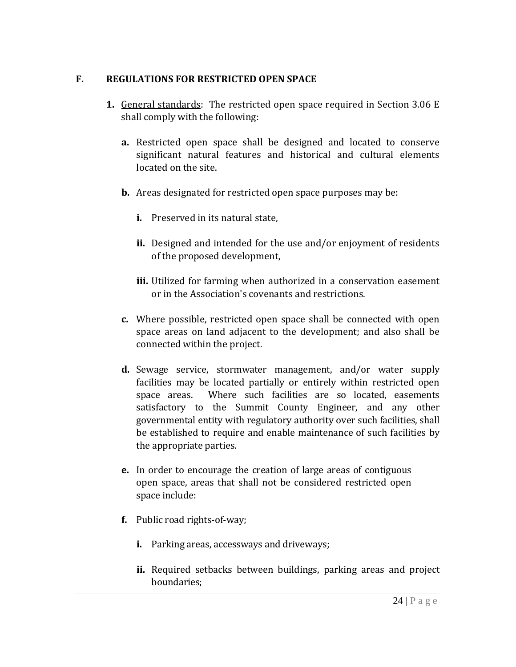### **F. REGULATIONS FOR RESTRICTED OPEN SPACE**

- **1.** General standards: The restricted open space required in Section 3.06 E shall comply with the following:
	- **a.** Restricted open space shall be designed and located to conserve significant natural features and historical and cultural elements located on the site.
	- **b.** Areas designated for restricted open space purposes may be:
		- **i.** Preserved in its natural state,
		- **ii.** Designed and intended for the use and/or enjoyment of residents of the proposed development,
		- **iii.** Utilized for farming when authorized in a conservation easement or in the Association's covenants and restrictions.
	- **c.** Where possible, restricted open space shall be connected with open space areas on land adjacent to the development; and also shall be connected within the project.
	- **d.** Sewage service, stormwater management, and/or water supply facilities may be located partially or entirely within restricted open space areas. Where such facilities are so located, easements satisfactory to the Summit County Engineer, and any other governmental entity with regulatory authority over such facilities, shall be established to require and enable maintenance of such facilities by the appropriate parties.
	- **e.** In order to encourage the creation of large areas of contiguous open space, areas that shall not be considered restricted open space include:
	- **f.** Public road rights-of-way;
		- **i.** Parking areas, accessways and driveways;
		- **ii.** Required setbacks between buildings, parking areas and project boundaries;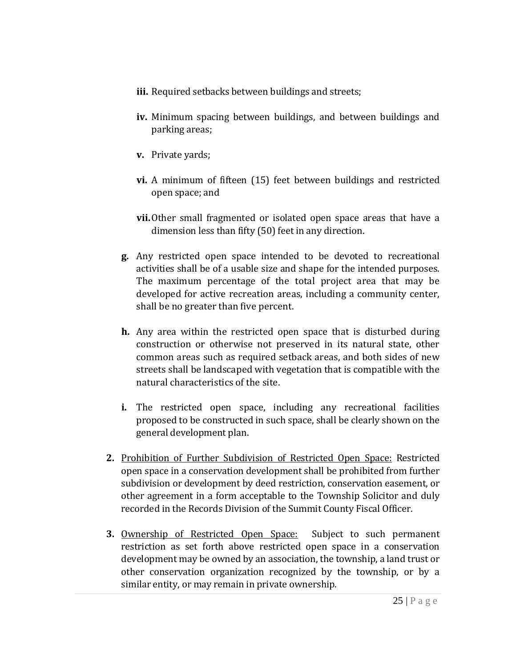- **iii.** Required setbacks between buildings and streets;
- **iv.** Minimum spacing between buildings, and between buildings and parking areas;
- **v.** Private yards;
- **vi.** A minimum of fifteen (15) feet between buildings and restricted open space; and
- **vii.**Other small fragmented or isolated open space areas that have a dimension less than fifty (50) feet in any direction.
- **g.** Any restricted open space intended to be devoted to recreational activities shall be of a usable size and shape for the intended purposes. The maximum percentage of the total project area that may be developed for active recreation areas, including a community center, shall be no greater than five percent.
- **h.** Any area within the restricted open space that is disturbed during construction or otherwise not preserved in its natural state, other common areas such as required setback areas, and both sides of new streets shall be landscaped with vegetation that is compatible with the natural characteristics of the site.
- **i.** The restricted open space, including any recreational facilities proposed to be constructed in such space, shall be clearly shown on the general development plan.
- **2.** Prohibition of Further Subdivision of Restricted Open Space: Restricted open space in a conservation development shall be prohibited from further subdivision or development by deed restriction, conservation easement, or other agreement in a form acceptable to the Township Solicitor and duly recorded in the Records Division of the Summit County Fiscal Officer.
- **3.** Ownership of Restricted Open Space: Subject to such permanent restriction as set forth above restricted open space in a conservation development may be owned by an association, the township, a land trust or other conservation organization recognized by the township, or by a similar entity, or may remain in private ownership.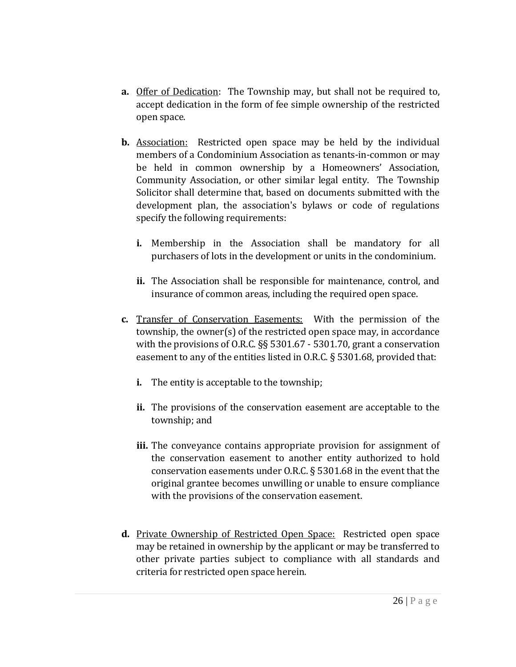- **a.** Offer of Dedication: The Township may, but shall not be required to, accept dedication in the form of fee simple ownership of the restricted open space.
- **b.** Association: Restricted open space may be held by the individual members of a Condominium Association as tenants-in-common or may be held in common ownership by a Homeowners' Association, Community Association, or other similar legal entity. The Township Solicitor shall determine that, based on documents submitted with the development plan, the association's bylaws or code of regulations specify the following requirements:
	- **i.** Membership in the Association shall be mandatory for all purchasers of lots in the development or units in the condominium.
	- **ii.** The Association shall be responsible for maintenance, control, and insurance of common areas, including the required open space.
- **c.** Transfer of Conservation Easements: With the permission of the township, the owner(s) of the restricted open space may, in accordance with the provisions of O.R.C. §§ 5301.67 - 5301.70, grant a conservation easement to any of the entities listed in O.R.C. § 5301.68, provided that:
	- **i.** The entity is acceptable to the township;
	- **ii.** The provisions of the conservation easement are acceptable to the township; and
	- **iii.** The conveyance contains appropriate provision for assignment of the conservation easement to another entity authorized to hold conservation easements under O.R.C. § 5301.68 in the event that the original grantee becomes unwilling or unable to ensure compliance with the provisions of the conservation easement.
- **d.** Private Ownership of Restricted Open Space: Restricted open space may be retained in ownership by the applicant or may be transferred to other private parties subject to compliance with all standards and criteria for restricted open space herein.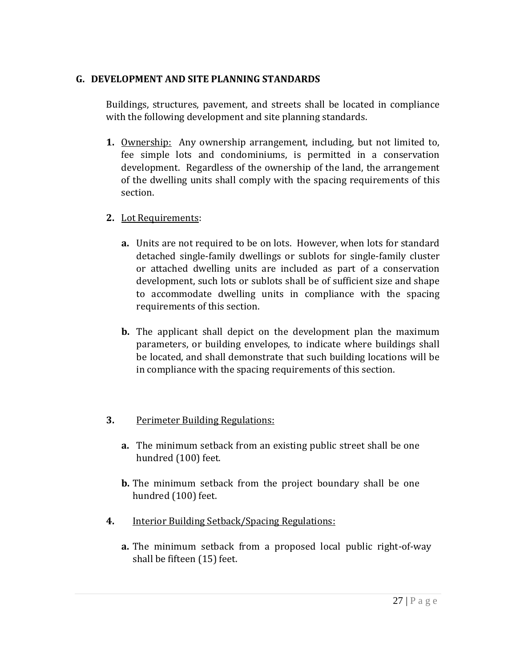### **G. DEVELOPMENT AND SITE PLANNING STANDARDS**

Buildings, structures, pavement, and streets shall be located in compliance with the following development and site planning standards.

- **1.** Ownership: Any ownership arrangement, including, but not limited to, fee simple lots and condominiums, is permitted in a conservation development. Regardless of the ownership of the land, the arrangement of the dwelling units shall comply with the spacing requirements of this section.
- **2.** Lot Requirements:
	- **a.** Units are not required to be on lots. However, when lots for standard detached single-family dwellings or sublots for single-family cluster or attached dwelling units are included as part of a conservation development, such lots or sublots shall be of sufficient size and shape to accommodate dwelling units in compliance with the spacing requirements of this section.
	- **b.** The applicant shall depict on the development plan the maximum parameters, or building envelopes, to indicate where buildings shall be located, and shall demonstrate that such building locations will be in compliance with the spacing requirements of this section.
- **3.** Perimeter Building Regulations:
	- **a.** The minimum setback from an existing public street shall be one hundred (100) feet.
	- **b.** The minimum setback from the project boundary shall be one hundred (100) feet.
- **4.** Interior Building Setback/Spacing Regulations:
	- **a.** The minimum setback from a proposed local public right-of-way shall be fifteen (15) feet.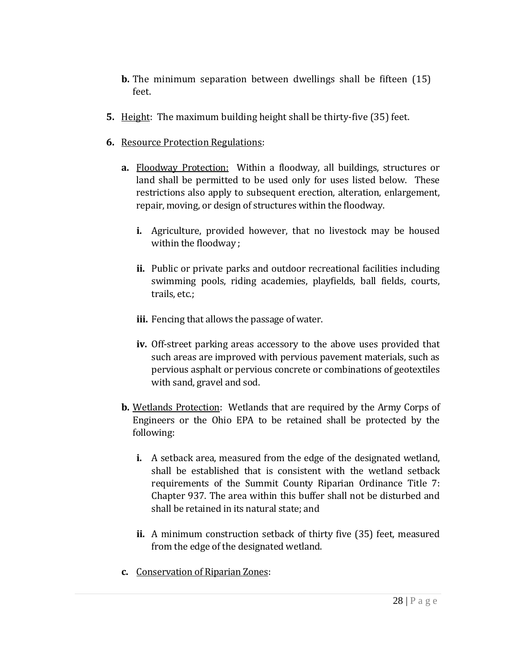- **b.** The minimum separation between dwellings shall be fifteen (15) feet.
- **5.** Height: The maximum building height shall be thirty-five (35) feet.
- **6.** Resource Protection Regulations:
	- **a.** Floodway Protection: Within a floodway, all buildings, structures or land shall be permitted to be used only for uses listed below. These restrictions also apply to subsequent erection, alteration, enlargement, repair, moving, or design of structures within the floodway.
		- **i.** Agriculture, provided however, that no livestock may be housed within the floodway ;
		- **ii.** Public or private parks and outdoor recreational facilities including swimming pools, riding academies, playfields, ball fields, courts, trails, etc.;
		- **iii.** Fencing that allows the passage of water.
		- **iv.** Off-street parking areas accessory to the above uses provided that such areas are improved with pervious pavement materials, such as pervious asphalt or pervious concrete or combinations of geotextiles with sand, gravel and sod.
	- **b.** Wetlands Protection: Wetlands that are required by the Army Corps of Engineers or the Ohio EPA to be retained shall be protected by the following:
		- **i.** A setback area, measured from the edge of the designated wetland, shall be established that is consistent with the wetland setback requirements of the Summit County Riparian Ordinance Title 7: Chapter 937. The area within this buffer shall not be disturbed and shall be retained in its natural state; and
		- **ii.** A minimum construction setback of thirty five (35) feet, measured from the edge of the designated wetland.
	- **c.** Conservation of Riparian Zones: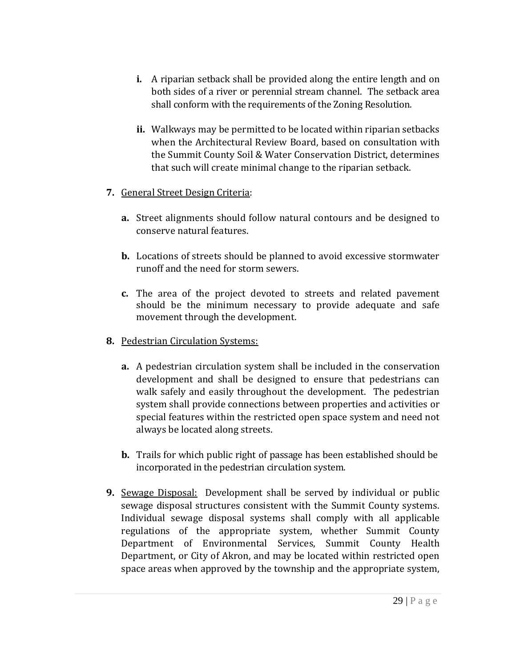- **i.** A riparian setback shall be provided along the entire length and on both sides of a river or perennial stream channel. The setback area shall conform with the requirements of the Zoning Resolution.
- **ii.** Walkways may be permitted to be located within riparian setbacks when the Architectural Review Board, based on consultation with the Summit County Soil & Water Conservation District, determines that such will create minimal change to the riparian setback.
- **7.** General Street Design Criteria:
	- **a.** Street alignments should follow natural contours and be designed to conserve natural features.
	- **b.** Locations of streets should be planned to avoid excessive stormwater runoff and the need for storm sewers.
	- **c.** The area of the project devoted to streets and related pavement should be the minimum necessary to provide adequate and safe movement through the development.
- **8.** Pedestrian Circulation Systems:
	- **a.** A pedestrian circulation system shall be included in the conservation development and shall be designed to ensure that pedestrians can walk safely and easily throughout the development. The pedestrian system shall provide connections between properties and activities or special features within the restricted open space system and need not always be located along streets.
	- **b.** Trails for which public right of passage has been established should be incorporated in the pedestrian circulation system.
- **9.** Sewage Disposal: Development shall be served by individual or public sewage disposal structures consistent with the Summit County systems. Individual sewage disposal systems shall comply with all applicable regulations of the appropriate system, whether Summit County Department of Environmental Services, Summit County Health Department, or City of Akron, and may be located within restricted open space areas when approved by the township and the appropriate system,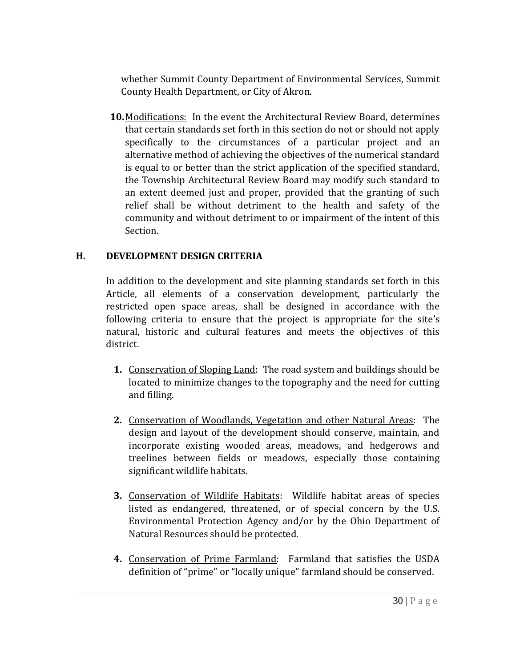whether Summit County Department of Environmental Services, Summit County Health Department, or City of Akron.

**10.**Modifications: In the event the Architectural Review Board, determines that certain standards set forth in this section do not or should not apply specifically to the circumstances of a particular project and an alternative method of achieving the objectives of the numerical standard is equal to or better than the strict application of the specified standard, the Township Architectural Review Board may modify such standard to an extent deemed just and proper, provided that the granting of such relief shall be without detriment to the health and safety of the community and without detriment to or impairment of the intent of this Section.

### **H. DEVELOPMENT DESIGN CRITERIA**

In addition to the development and site planning standards set forth in this Article, all elements of a conservation development, particularly the restricted open space areas, shall be designed in accordance with the following criteria to ensure that the project is appropriate for the site's natural, historic and cultural features and meets the objectives of this district.

- **1.** Conservation of Sloping Land: The road system and buildings should be located to minimize changes to the topography and the need for cutting and filling.
- **2.** Conservation of Woodlands, Vegetation and other Natural Areas: The design and layout of the development should conserve, maintain, and incorporate existing wooded areas, meadows, and hedgerows and treelines between fields or meadows, especially those containing significant wildlife habitats.
- **3.** Conservation of Wildlife Habitats: Wildlife habitat areas of species listed as endangered, threatened, or of special concern by the U.S. Environmental Protection Agency and/or by the Ohio Department of Natural Resources should be protected.
- **4.** Conservation of Prime Farmland: Farmland that satisfies the USDA definition of "prime" or "locally unique" farmland should be conserved.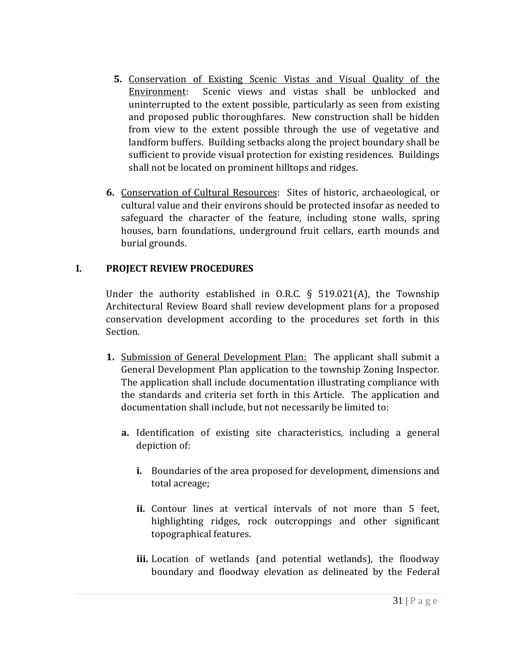- **5.** Conservation of Existing Scenic Vistas and Visual Quality of the Environment: Scenic views and vistas shall be unblocked and uninterrupted to the extent possible, particularly as seen from existing and proposed public thoroughfares. New construction shall be hidden from view to the extent possible through the use of vegetative and landform buffers. Building setbacks along the project boundary shall be sufficient to provide visual protection for existing residences. Buildings shall not be located on prominent hilltops and ridges.
- **6.** Conservation of Cultural Resources: Sites of historic, archaeological, or cultural value and their environs should be protected insofar as needed to safeguard the character of the feature, including stone walls, spring houses, barn foundations, underground fruit cellars, earth mounds and burial grounds.

### **I. PROJECT REVIEW PROCEDURES**

Under the authority established in O.R.C.  $\S$  519.021(A), the Township Architectural Review Board shall review development plans for a proposed conservation development according to the procedures set forth in this Section.

- **1.** Submission of General Development Plan: The applicant shall submit a General Development Plan application to the township Zoning Inspector. The application shall include documentation illustrating compliance with the standards and criteria set forth in this Article. The application and documentation shall include, but not necessarily be limited to:
	- **a.** Identification of existing site characteristics, including a general depiction of:
		- **i.** Boundaries of the area proposed for development, dimensions and total acreage;
		- **ii.** Contour lines at vertical intervals of not more than 5 feet, highlighting ridges, rock outcroppings and other significant topographical features.
		- **iii.** Location of wetlands (and potential wetlands), the floodway boundary and floodway elevation as delineated by the Federal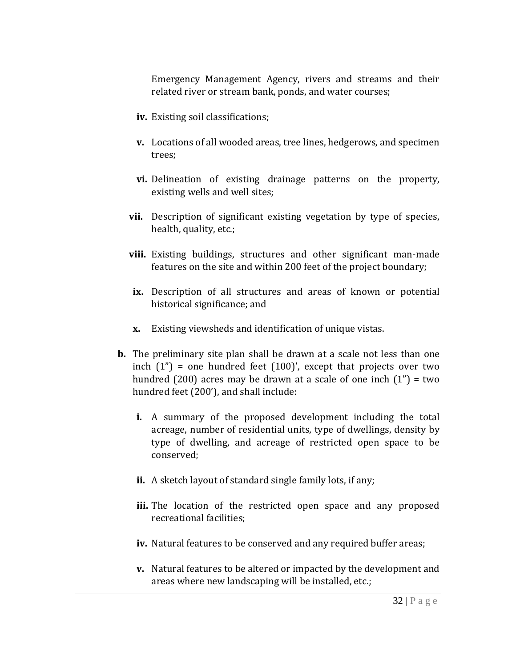Emergency Management Agency, rivers and streams and their related river or stream bank, ponds, and water courses;

- **iv.** Existing soil classifications;
- **v.** Locations of all wooded areas, tree lines, hedgerows, and specimen trees;
- **vi.** Delineation of existing drainage patterns on the property, existing wells and well sites;
- **vii.** Description of significant existing vegetation by type of species, health, quality, etc.;
- **viii.** Existing buildings, structures and other significant man-made features on the site and within 200 feet of the project boundary;
- **ix.** Description of all structures and areas of known or potential historical significance; and
- **x.** Existing viewsheds and identification of unique vistas.
- **b.** The preliminary site plan shall be drawn at a scale not less than one inch  $(1")$  = one hundred feet  $(100)'$ , except that projects over two hundred (200) acres may be drawn at a scale of one inch  $(1<sup>n</sup>)$  = two hundred feet (200'), and shall include:
	- **i.** A summary of the proposed development including the total acreage, number of residential units, type of dwellings, density by type of dwelling, and acreage of restricted open space to be conserved;
	- **ii.** A sketch layout of standard single family lots, if any;
	- **iii.** The location of the restricted open space and any proposed recreational facilities;
	- **iv.** Natural features to be conserved and any required buffer areas;
	- **v.** Natural features to be altered or impacted by the development and areas where new landscaping will be installed, etc.;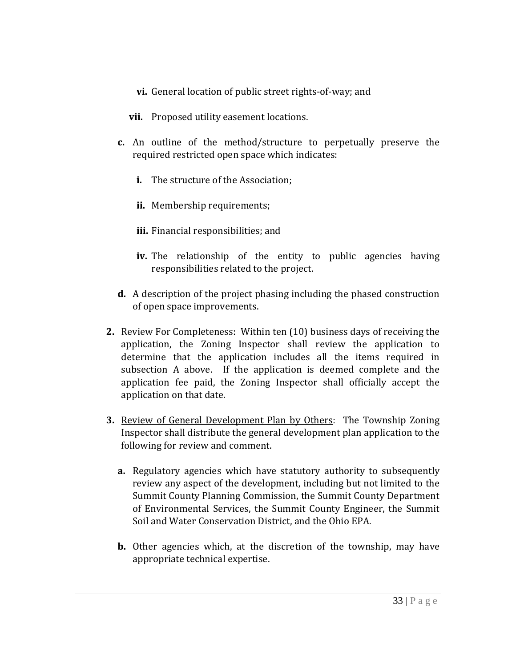- **vi.** General location of public street rights-of-way; and
- **vii.** Proposed utility easement locations.
- **c.** An outline of the method/structure to perpetually preserve the required restricted open space which indicates:
	- **i.** The structure of the Association;
	- **ii.** Membership requirements;
	- **iii.** Financial responsibilities; and
	- **iv.** The relationship of the entity to public agencies having responsibilities related to the project.
- **d.** A description of the project phasing including the phased construction of open space improvements.
- **2.** Review For Completeness: Within ten (10) business days of receiving the application, the Zoning Inspector shall review the application to determine that the application includes all the items required in subsection A above. If the application is deemed complete and the application fee paid, the Zoning Inspector shall officially accept the application on that date.
- **3.** Review of General Development Plan by Others: The Township Zoning Inspector shall distribute the general development plan application to the following for review and comment.
	- **a.** Regulatory agencies which have statutory authority to subsequently review any aspect of the development, including but not limited to the Summit County Planning Commission, the Summit County Department of Environmental Services, the Summit County Engineer, the Summit Soil and Water Conservation District, and the Ohio EPA.
	- **b.** Other agencies which, at the discretion of the township, may have appropriate technical expertise.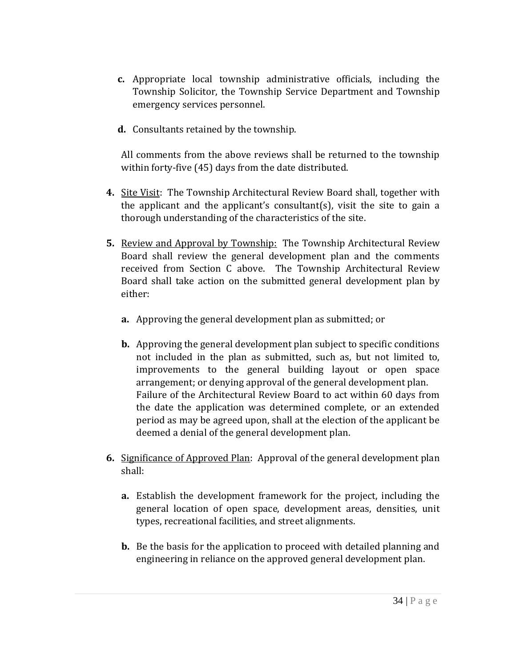- **c.** Appropriate local township administrative officials, including the Township Solicitor, the Township Service Department and Township emergency services personnel.
- **d.** Consultants retained by the township.

All comments from the above reviews shall be returned to the township within forty-five (45) days from the date distributed.

- **4.** Site Visit: The Township Architectural Review Board shall, together with the applicant and the applicant's consultant(s), visit the site to gain a thorough understanding of the characteristics of the site.
- **5.** Review and Approval by Township: The Township Architectural Review Board shall review the general development plan and the comments received from Section C above. The Township Architectural Review Board shall take action on the submitted general development plan by either:
	- **a.** Approving the general development plan as submitted; or
	- **b.** Approving the general development plan subject to specific conditions not included in the plan as submitted, such as, but not limited to, improvements to the general building layout or open space arrangement; or denying approval of the general development plan. Failure of the Architectural Review Board to act within 60 days from the date the application was determined complete, or an extended period as may be agreed upon, shall at the election of the applicant be deemed a denial of the general development plan.
- **6.** Significance of Approved Plan: Approval of the general development plan shall:
	- **a.** Establish the development framework for the project, including the general location of open space, development areas, densities, unit types, recreational facilities, and street alignments.
	- **b.** Be the basis for the application to proceed with detailed planning and engineering in reliance on the approved general development plan.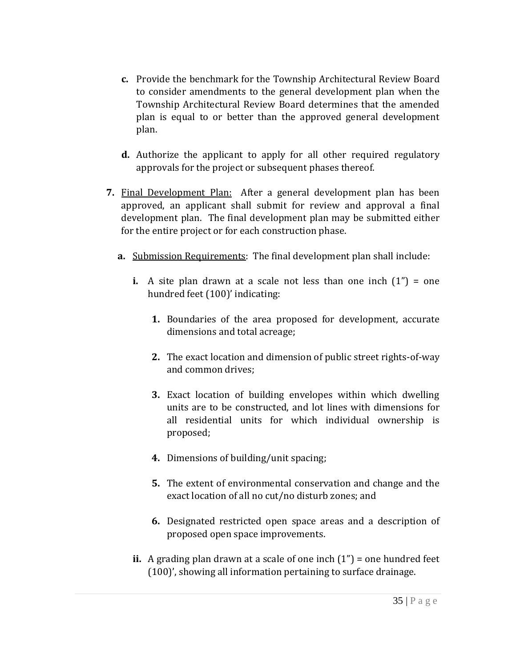- **c.** Provide the benchmark for the Township Architectural Review Board to consider amendments to the general development plan when the Township Architectural Review Board determines that the amended plan is equal to or better than the approved general development plan.
- **d.** Authorize the applicant to apply for all other required regulatory approvals for the project or subsequent phases thereof.
- **7.** Final Development Plan: After a general development plan has been approved, an applicant shall submit for review and approval a final development plan. The final development plan may be submitted either for the entire project or for each construction phase.
	- **a.** Submission Requirements: The final development plan shall include:
		- **i.** A site plan drawn at a scale not less than one inch  $(1<sup>n</sup>)$  = one hundred feet (100)' indicating:
			- **1.** Boundaries of the area proposed for development, accurate dimensions and total acreage;
			- **2.** The exact location and dimension of public street rights-of-way and common drives;
			- **3.** Exact location of building envelopes within which dwelling units are to be constructed, and lot lines with dimensions for all residential units for which individual ownership is proposed;
			- **4.** Dimensions of building/unit spacing;
			- **5.** The extent of environmental conservation and change and the exact location of all no cut/no disturb zones; and
			- **6.** Designated restricted open space areas and a description of proposed open space improvements.
		- **ii.** A grading plan drawn at a scale of one inch  $(1<sup>n</sup>)$  = one hundred feet (100)', showing all information pertaining to surface drainage.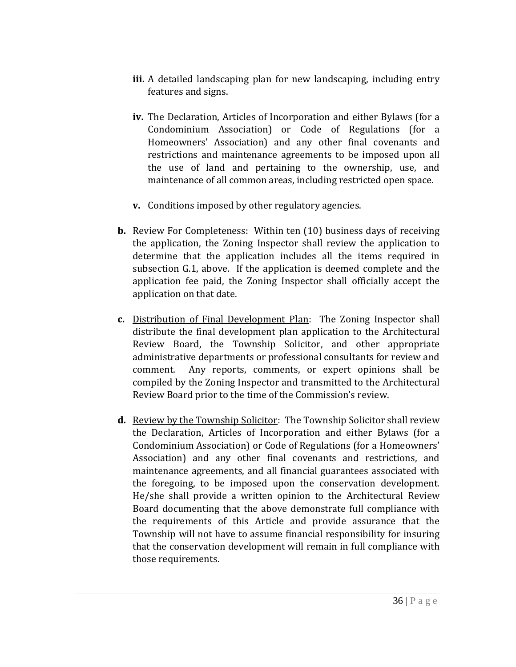- **iii.** A detailed landscaping plan for new landscaping, including entry features and signs.
- **iv.** The Declaration, Articles of Incorporation and either Bylaws (for a Condominium Association) or Code of Regulations (for a Homeowners' Association) and any other final covenants and restrictions and maintenance agreements to be imposed upon all the use of land and pertaining to the ownership, use, and maintenance of all common areas, including restricted open space.
- **v.** Conditions imposed by other regulatory agencies.
- **b.** Review For Completeness: Within ten (10) business days of receiving the application, the Zoning Inspector shall review the application to determine that the application includes all the items required in subsection G.1, above. If the application is deemed complete and the application fee paid, the Zoning Inspector shall officially accept the application on that date.
- **c.** Distribution of Final Development Plan: The Zoning Inspector shall distribute the final development plan application to the Architectural Review Board, the Township Solicitor, and other appropriate administrative departments or professional consultants for review and comment. Any reports, comments, or expert opinions shall be compiled by the Zoning Inspector and transmitted to the Architectural Review Board prior to the time of the Commission's review.
- **d.** Review by the Township Solicitor: The Township Solicitor shall review the Declaration, Articles of Incorporation and either Bylaws (for a Condominium Association) or Code of Regulations (for a Homeowners' Association) and any other final covenants and restrictions, and maintenance agreements, and all financial guarantees associated with the foregoing, to be imposed upon the conservation development. He/she shall provide a written opinion to the Architectural Review Board documenting that the above demonstrate full compliance with the requirements of this Article and provide assurance that the Township will not have to assume financial responsibility for insuring that the conservation development will remain in full compliance with those requirements.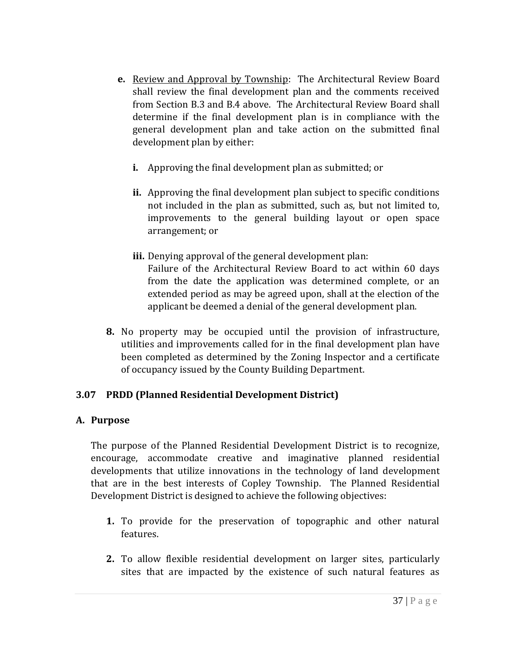- **e.** Review and Approval by Township: The Architectural Review Board shall review the final development plan and the comments received from Section B.3 and B.4 above. The Architectural Review Board shall determine if the final development plan is in compliance with the general development plan and take action on the submitted final development plan by either:
	- **i.** Approving the final development plan as submitted; or
	- **ii.** Approving the final development plan subject to specific conditions not included in the plan as submitted, such as, but not limited to, improvements to the general building layout or open space arrangement; or
	- **iii.** Denying approval of the general development plan: Failure of the Architectural Review Board to act within 60 days from the date the application was determined complete, or an extended period as may be agreed upon, shall at the election of the applicant be deemed a denial of the general development plan.
- **8.** No property may be occupied until the provision of infrastructure, utilities and improvements called for in the final development plan have been completed as determined by the Zoning Inspector and a certificate of occupancy issued by the County Building Department.

## **3.07 PRDD (Planned Residential Development District)**

## **A. Purpose**

The purpose of the Planned Residential Development District is to recognize, encourage, accommodate creative and imaginative planned residential developments that utilize innovations in the technology of land development that are in the best interests of Copley Township. The Planned Residential Development District is designed to achieve the following objectives:

- **1.** To provide for the preservation of topographic and other natural features.
- **2.** To allow flexible residential development on larger sites, particularly sites that are impacted by the existence of such natural features as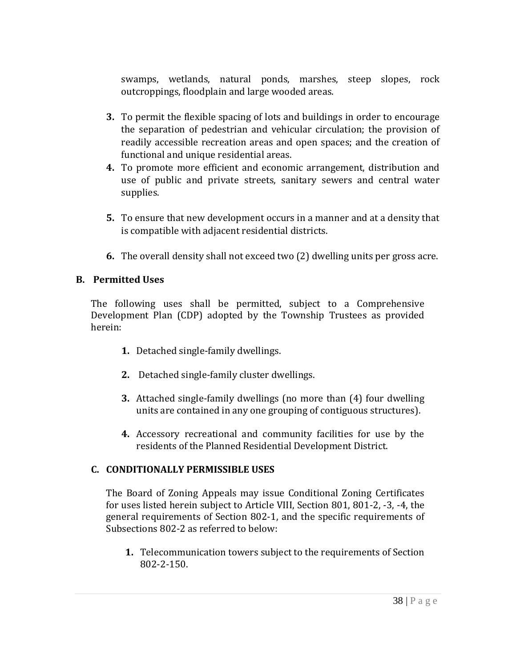swamps, wetlands, natural ponds, marshes, steep slopes, rock outcroppings, floodplain and large wooded areas.

- **3.** To permit the flexible spacing of lots and buildings in order to encourage the separation of pedestrian and vehicular circulation; the provision of readily accessible recreation areas and open spaces; and the creation of functional and unique residential areas.
- **4.** To promote more efficient and economic arrangement, distribution and use of public and private streets, sanitary sewers and central water supplies.
- **5.** To ensure that new development occurs in a manner and at a density that is compatible with adjacent residential districts.
- **6.** The overall density shall not exceed two (2) dwelling units per gross acre.

#### **B. Permitted Uses**

The following uses shall be permitted, subject to a Comprehensive Development Plan (CDP) adopted by the Township Trustees as provided herein:

- **1.** Detached single-family dwellings.
- **2.** Detached single-family cluster dwellings.
- **3.** Attached single-family dwellings (no more than (4) four dwelling units are contained in any one grouping of contiguous structures).
- **4.** Accessory recreational and community facilities for use by the residents of the Planned Residential Development District.

# **C. CONDITIONALLY PERMISSIBLE USES**

The Board of Zoning Appeals may issue Conditional Zoning Certificates for uses listed herein subject to Article VIII, Section 801, 801-2, -3, -4, the general requirements of Section 802-1, and the specific requirements of Subsections 802-2 as referred to below:

**1.** Telecommunication towers subject to the requirements of Section 802-2-150.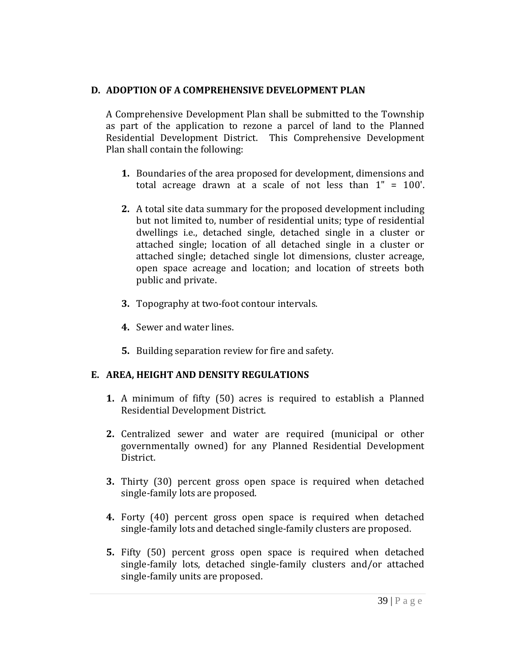#### **D. ADOPTION OF A COMPREHENSIVE DEVELOPMENT PLAN**

A Comprehensive Development Plan shall be submitted to the Township as part of the application to rezone a parcel of land to the Planned Residential Development District. This Comprehensive Development Plan shall contain the following:

- **1.** Boundaries of the area proposed for development, dimensions and total acreage drawn at a scale of not less than 1" = 100'.
- **2.** A total site data summary for the proposed development including but not limited to, number of residential units; type of residential dwellings i.e., detached single, detached single in a cluster or attached single; location of all detached single in a cluster or attached single; detached single lot dimensions, cluster acreage, open space acreage and location; and location of streets both public and private.
- **3.** Topography at two-foot contour intervals.
- **4.** Sewer and water lines.
- **5.** Building separation review for fire and safety.

## **E. AREA, HEIGHT AND DENSITY REGULATIONS**

- **1.** A minimum of fifty (50) acres is required to establish a Planned Residential Development District.
- **2.** Centralized sewer and water are required (municipal or other governmentally owned) for any Planned Residential Development District.
- **3.** Thirty (30) percent gross open space is required when detached single-family lots are proposed.
- **4.** Forty (40) percent gross open space is required when detached single-family lots and detached single-family clusters are proposed.
- **5.** Fifty (50) percent gross open space is required when detached single-family lots, detached single-family clusters and/or attached single-family units are proposed.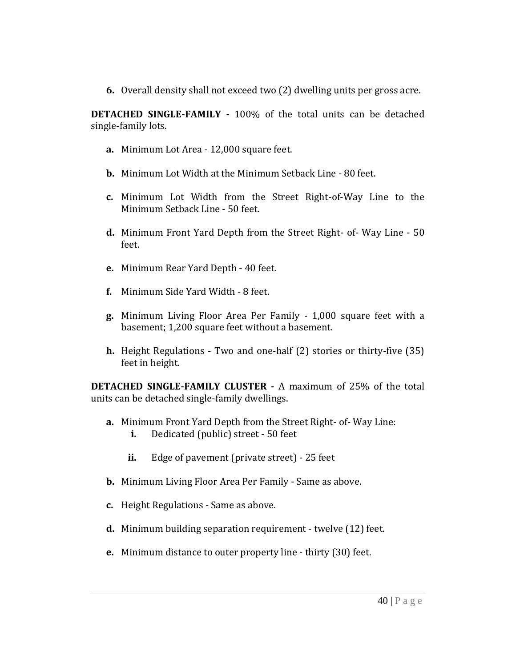**6.** Overall density shall not exceed two (2) dwelling units per gross acre.

**DETACHED SINGLE-FAMILY -** 100% of the total units can be detached single-family lots.

- **a.** Minimum Lot Area 12,000 square feet.
- **b.** Minimum Lot Width at the Minimum Setback Line 80 feet.
- **c.** Minimum Lot Width from the Street Right-of-Way Line to the Minimum Setback Line - 50 feet.
- **d.** Minimum Front Yard Depth from the Street Right- of- Way Line 50 feet.
- **e.** Minimum Rear Yard Depth 40 feet.
- **f.** Minimum Side Yard Width 8 feet.
- **g.** Minimum Living Floor Area Per Family 1,000 square feet with a basement; 1,200 square feet without a basement.
- **h.** Height Regulations Two and one-half (2) stories or thirty-five (35) feet in height.

**DETACHED SINGLE-FAMILY CLUSTER -** A maximum of 25% of the total units can be detached single-family dwellings.

- **a.** Minimum Front Yard Depth from the Street Right- of- Way Line:
	- **i.** Dedicated (public) street 50 feet
	- **ii.** Edge of pavement (private street) 25 feet
- **b.** Minimum Living Floor Area Per Family Same as above.
- **c.** Height Regulations Same as above.
- **d.** Minimum building separation requirement twelve (12) feet.
- **e.** Minimum distance to outer property line thirty (30) feet.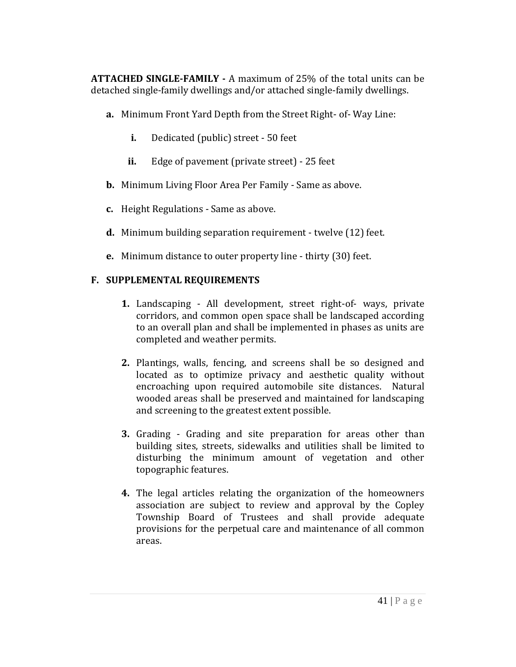**ATTACHED SINGLE-FAMILY -** A maximum of 25% of the total units can be detached single-family dwellings and/or attached single-family dwellings.

- **a.** Minimum Front Yard Depth from the Street Right- of- Way Line:
	- **i.** Dedicated (public) street 50 feet
	- **ii.** Edge of pavement (private street) 25 feet
- **b.** Minimum Living Floor Area Per Family Same as above.
- **c.** Height Regulations Same as above.
- **d.** Minimum building separation requirement twelve (12) feet.
- **e.** Minimum distance to outer property line thirty (30) feet.

### **F. SUPPLEMENTAL REQUIREMENTS**

- **1.** Landscaping All development, street right-of- ways, private corridors, and common open space shall be landscaped according to an overall plan and shall be implemented in phases as units are completed and weather permits.
- **2.** Plantings, walls, fencing, and screens shall be so designed and located as to optimize privacy and aesthetic quality without encroaching upon required automobile site distances. Natural wooded areas shall be preserved and maintained for landscaping and screening to the greatest extent possible.
- **3.** Grading Grading and site preparation for areas other than building sites, streets, sidewalks and utilities shall be limited to disturbing the minimum amount of vegetation and other topographic features.
- **4.** The legal articles relating the organization of the homeowners association are subject to review and approval by the Copley Township Board of Trustees and shall provide adequate provisions for the perpetual care and maintenance of all common areas.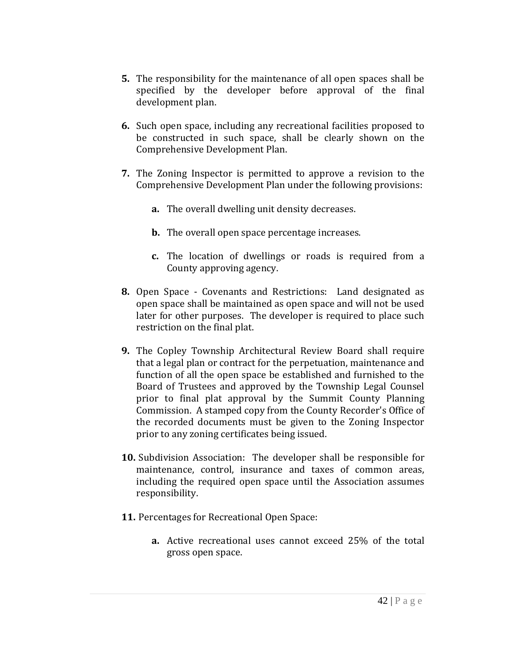- **5.** The responsibility for the maintenance of all open spaces shall be specified by the developer before approval of the final development plan.
- **6.** Such open space, including any recreational facilities proposed to be constructed in such space, shall be clearly shown on the Comprehensive Development Plan.
- **7.** The Zoning Inspector is permitted to approve a revision to the Comprehensive Development Plan under the following provisions:
	- **a.** The overall dwelling unit density decreases.
	- **b.** The overall open space percentage increases.
	- **c.** The location of dwellings or roads is required from a County approving agency.
- **8.** Open Space Covenants and Restrictions: Land designated as open space shall be maintained as open space and will not be used later for other purposes. The developer is required to place such restriction on the final plat.
- **9.** The Copley Township Architectural Review Board shall require that a legal plan or contract for the perpetuation, maintenance and function of all the open space be established and furnished to the Board of Trustees and approved by the Township Legal Counsel prior to final plat approval by the Summit County Planning Commission. A stamped copy from the County Recorder's Office of the recorded documents must be given to the Zoning Inspector prior to any zoning certificates being issued.
- **10.** Subdivision Association: The developer shall be responsible for maintenance, control, insurance and taxes of common areas, including the required open space until the Association assumes responsibility.
- **11.** Percentages for Recreational Open Space:
	- **a.** Active recreational uses cannot exceed 25% of the total gross open space.